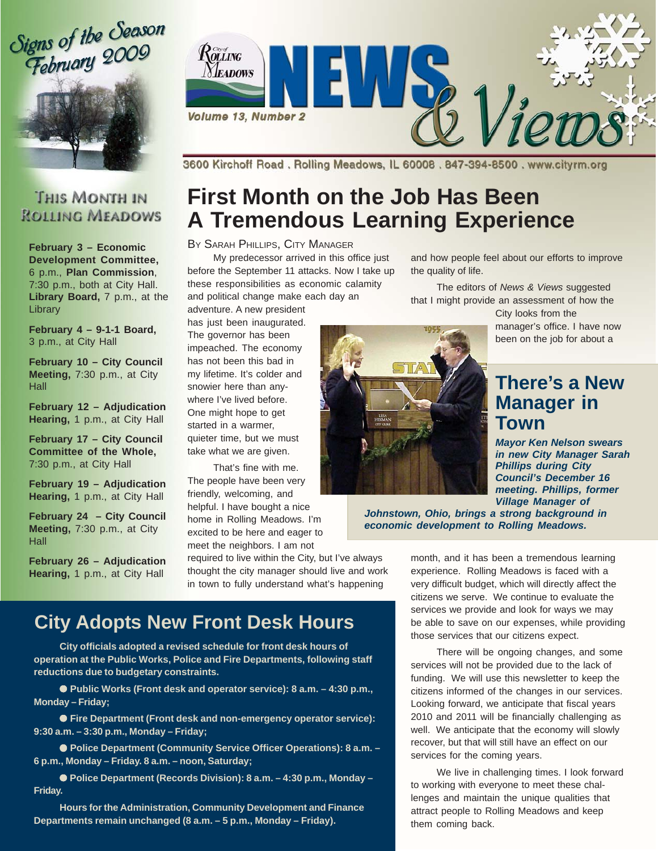Signs of the Season<br>February 2009



### **THIS MONTH IN ROLLING MEADOWS**

**February 3 – Economic Development Committee,** 6 p.m., **Plan Commission**, 7:30 p.m., both at City Hall. Library Board, 7 p.m., at the Library

**February 4 – 9-1-1 Board,** 3 p.m., at City Hall

**February 10 – City Council Meeting,** 7:30 p.m., at City **Hall** 

**February 12 – Adjudication Hearing,** 1 p.m., at City Hall

**February 17 – City Council Committee of the Whole,** 7:30 p.m., at City Hall

**February 19 – Adjudication Hearing,** 1 p.m., at City Hall

**February 24 – City Council Meeting,** 7:30 p.m., at City **Hall** 

**February 26 – Adjudication Hearing,** 1 p.m., at City Hall



3600 Kirchoff Road, Rolling Meadows, IL 60008, 847-394-8500, www.cityrm.org

# **First Month on the Job Has Been A Tremendous Learning Experience**

#### BY SARAH PHILLIPS, CITY MANAGER

My predecessor arrived in this office just before the September 11 attacks. Now I take up these responsibilities as economic calamity

and political change make each day an adventure. A new president

has just been inaugurated. The governor has been impeached. The economy has not been this bad in my lifetime. It's colder and snowier here than anywhere I've lived before. One might hope to get started in a warmer, quieter time, but we must take what we are given.

That's fine with me. The people have been very friendly, welcoming, and helpful. I have bought a nice home in Rolling Meadows. I'm excited to be here and eager to meet the neighbors. I am not

required to live within the City, but I've always thought the city manager should live and work in town to fully understand what's happening

## **City Adopts New Front Desk Hours**

**City officials adopted a revised schedule for front desk hours of operation at the Public Works, Police and Fire Departments, following staff reductions due to budgetary constraints.**

● Public Works (Front desk and operator service): 8 a.m. – 4:30 p.m., **Monday – Friday;**

● **Fire Department (Front desk and non-emergency operator service): 9:30 a.m. – 3:30 p.m., Monday – Friday;**

● Police Department (Community Service Officer Operations): 8 a.m. -**6 p.m., Monday – Friday. 8 a.m. – noon, Saturday;**

● Police Department (Records Division): 8 a.m. - 4:30 p.m., Monday -**Friday.**

**Hours for the Administration, Community Development and Finance Departments remain unchanged (8 a.m. – 5 p.m., Monday – Friday).**

and how people feel about our efforts to improve the quality of life.

The editors of *News & Views* suggested that I might provide an assessment of how the

> City looks from the manager's office. I have now been on the job for about a

## **There's a New Manager in Town**

*Mayor Ken Nelson swears in new City Manager Sarah Phillips during City Council's December 16 meeting. Phillips, former Village Manager of*

*Johnstown, Ohio, brings a strong background in economic development to Rolling Meadows.*

> month, and it has been a tremendous learning experience. Rolling Meadows is faced with a very difficult budget, which will directly affect the citizens we serve. We continue to evaluate the services we provide and look for ways we may be able to save on our expenses, while providing those services that our citizens expect.

> There will be ongoing changes, and some services will not be provided due to the lack of funding. We will use this newsletter to keep the citizens informed of the changes in our services. Looking forward, we anticipate that fiscal years 2010 and 2011 will be financially challenging as well. We anticipate that the economy will slowly recover, but that will still have an effect on our services for the coming years.

> We live in challenging times. I look forward to working with everyone to meet these challenges and maintain the unique qualities that attract people to Rolling Meadows and keep them coming back.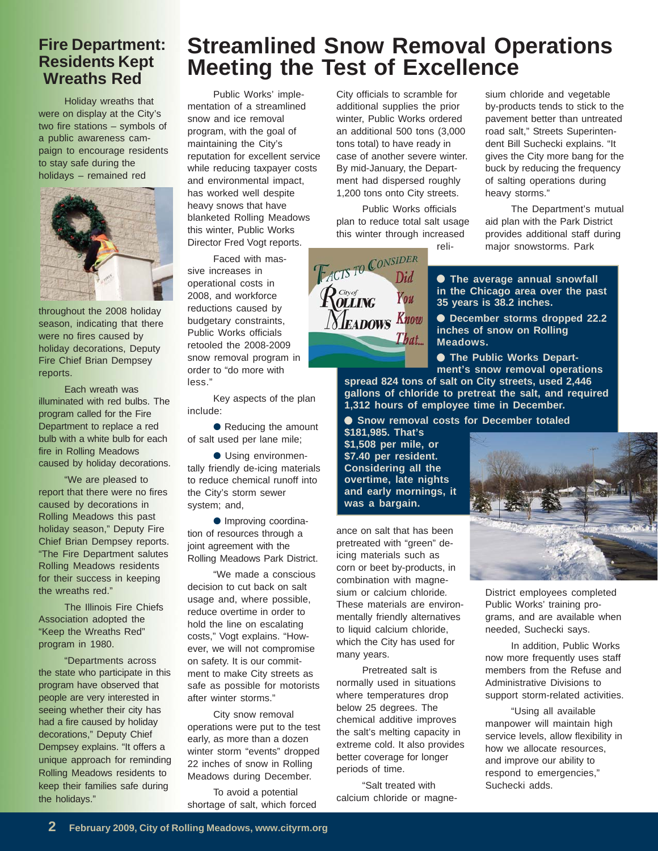### **Fire Department: Residents Kept Wreaths Red**

Holiday wreaths that were on display at the City's two fire stations – symbols of a public awareness campaign to encourage residents to stay safe during the holidays – remained red



throughout the 2008 holiday season, indicating that there were no fires caused by holiday decorations, Deputy Fire Chief Brian Dempsey reports.

Each wreath was illuminated with red bulbs. The program called for the Fire Department to replace a red bulb with a white bulb for each fire in Rolling Meadows caused by holiday decorations.

"We are pleased to report that there were no fires caused by decorations in Rolling Meadows this past holiday season," Deputy Fire Chief Brian Dempsey reports. "The Fire Department salutes Rolling Meadows residents for their success in keeping the wreaths red."

The Illinois Fire Chiefs Association adopted the "Keep the Wreaths Red" program in 1980.

"Departments across the state who participate in this program have observed that people are very interested in seeing whether their city has had a fire caused by holiday decorations," Deputy Chief Dempsey explains. "It offers a unique approach for reminding Rolling Meadows residents to keep their families safe during the holidays."

# **Streamlined Snow Removal Operations Meeting the Test of Excellence**

Public Works' implementation of a streamlined snow and ice removal program, with the goal of maintaining the City's reputation for excellent service while reducing taxpayer costs and environmental impact, has worked well despite heavy snows that have blanketed Rolling Meadows this winter, Public Works Director Fred Vogt reports.

Faced with massive increases in operational costs in 2008, and workforce reductions caused by budgetary constraints, Public Works officials retooled the 2008-2009 snow removal program in order to "do more with less."

Key aspects of the plan include:

● Reducing the amount of salt used per lane mile;

● Using environmentally friendly de-icing materials to reduce chemical runoff into the City's storm sewer system; and,

● Improving coordination of resources through a joint agreement with the Rolling Meadows Park District.

"We made a conscious decision to cut back on salt usage and, where possible, reduce overtime in order to hold the line on escalating costs," Vogt explains. "However, we will not compromise on safety. It is our commitment to make City streets as safe as possible for motorists after winter storms."

City snow removal operations were put to the test early, as more than a dozen winter storm "events" dropped 22 inches of snow in Rolling Meadows during December.

To avoid a potential shortage of salt, which forced City officials to scramble for additional supplies the prior winter, Public Works ordered an additional 500 tons (3,000 tons total) to have ready in case of another severe winter. By mid-January, the Department had dispersed roughly 1,200 tons onto City streets.

Public Works officials plan to reduce total salt usage this winter through increased reli-

You

That...

**FACTS TO CONSIDER** 

**LEADOWS Know** 

 $\hat{R}^{\text{cav},\sigma}_{\text{OLING}}$ 

sium chloride and vegetable by-products tends to stick to the pavement better than untreated road salt," Streets Superintendent Bill Suchecki explains. "It gives the City more bang for the buck by reducing the frequency of salting operations during heavy storms."

The Department's mutual aid plan with the Park District provides additional staff during major snowstorms. Park

● **The average annual snowfall in the Chicago area over the past 35 years is 38.2 inches.**

● **December storms dropped 22.2 inches of snow on Rolling Meadows.**

● **The Public Works Depart-**

**ment's snow removal operations spread 824 tons of salt on City streets, used 2,446 gallons of chloride to pretreat the salt, and required**

**1,312 hours of employee time in December.** ● **Snow removal costs for December totaled**

**\$181,985. That's \$1,508 per mile, or \$7.40 per resident. Considering all the overtime, late nights and early mornings, it was a bargain.**

ance on salt that has been pretreated with "green" deicing materials such as corn or beet by-products, in combination with magnesium or calcium chloride*.* These materials are environmentally friendly alternatives to liquid calcium chloride, which the City has used for many years.

Pretreated salt is normally used in situations where temperatures drop below 25 degrees. The chemical additive improves the salt's melting capacity in extreme cold. It also provides better coverage for longer periods of time.

"Salt treated with calcium chloride or magne-



District employees completed Public Works' training programs, and are available when needed, Suchecki says.

In addition, Public Works now more frequently uses staff members from the Refuse and Administrative Divisions to support storm-related activities.

"Using all available manpower will maintain high service levels, allow flexibility in how we allocate resources, and improve our ability to respond to emergencies," Suchecki adds.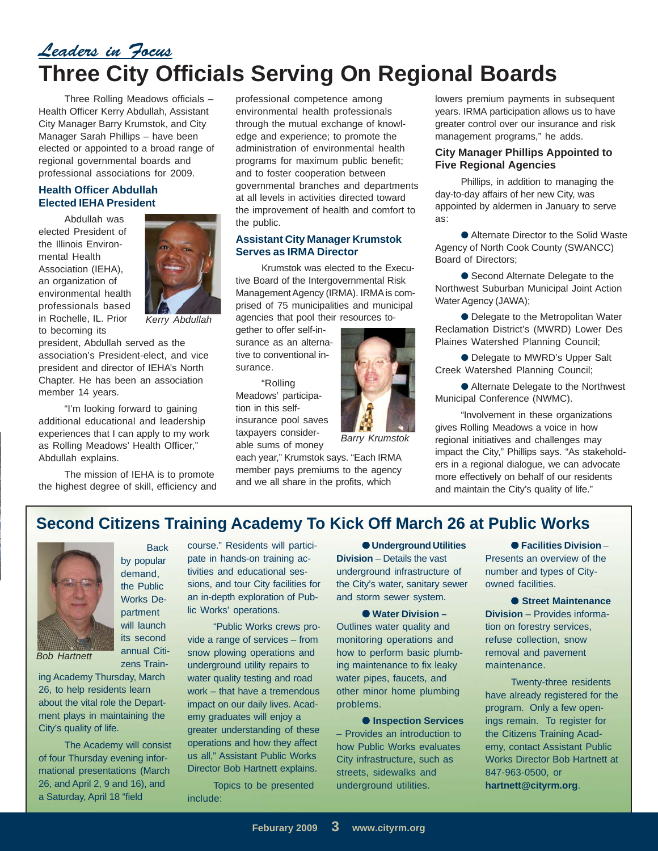# *Leaders in Focus* **Three City Officials Serving On Regional Boards**

Three Rolling Meadows officials – Health Officer Kerry Abdullah, Assistant City Manager Barry Krumstok, and City Manager Sarah Phillips – have been elected or appointed to a broad range of regional governmental boards and professional associations for 2009.

### **Health Officer Abdullah Elected IEHA President**

Abdullah was elected President of the Illinois Environmental Health Association (IEHA), an organization of environmental health professionals based in Rochelle, IL. Prior to becoming its



*Kerry Abdullah*

president, Abdullah served as the association's President-elect, and vice president and director of IEHA's North Chapter. He has been an association member 14 years.

"I'm looking forward to gaining additional educational and leadership experiences that I can apply to my work as Rolling Meadows' Health Officer," Abdullah explains.

The mission of IEHA is to promote the highest degree of skill, efficiency and professional competence among environmental health professionals through the mutual exchange of knowledge and experience; to promote the administration of environmental health programs for maximum public benefit; and to foster cooperation between governmental branches and departments at all levels in activities directed toward the improvement of health and comfort to the public.

### **Assistant City Manager Krumstok Serves as IRMA Director**

Krumstok was elected to the Executive Board of the Intergovernmental Risk Management Agency (IRMA). IRMA is comprised of 75 municipalities and municipal agencies that pool their resources to-

gether to offer self-insurance as an alternative to conventional insurance.

"Rolling Meadows' participation in this selfinsurance pool saves taxpayers considerable sums of money

each year," Krumstok says. "Each IRMA member pays premiums to the agency and we all share in the profits, which

lowers premium payments in subsequent years. IRMA participation allows us to have greater control over our insurance and risk management programs," he adds.

#### **City Manager Phillips Appointed to Five Regional Agencies**

Phillips, in addition to managing the day-to-day affairs of her new City, was appointed by aldermen in January to serve as:

● Alternate Director to the Solid Waste Agency of North Cook County (SWANCC) Board of Directors;

● Second Alternate Delegate to the Northwest Suburban Municipal Joint Action Water Agency (JAWA);

● Delegate to the Metropolitan Water Reclamation District's (MWRD) Lower Des Plaines Watershed Planning Council;

● Delegate to MWRD's Upper Salt Creek Watershed Planning Council;

● Alternate Delegate to the Northwest Municipal Conference (NWMC).

"Involvement in these organizations gives Rolling Meadows a voice in how regional initiatives and challenges may impact the City," Phillips says. "As stakeholders in a regional dialogue, we can advocate more effectively on behalf of our residents and maintain the City's quality of life."

### **Second Citizens Training Academy To Kick Off March 26 at Public Works**



**Back** by popular demand, the Public Works Department will launch its second annual Citi-

zens Train-

*Bob Hartnett*

ing Academy Thursday, March 26, to help residents learn about the vital role the Department plays in maintaining the City's quality of life.

The Academy will consist of four Thursday evening informational presentations (March 26, and April 2, 9 and 16), and a Saturday, April 18 "field

course." Residents will participate in hands-on training activities and educational sessions, and tour City facilities for an in-depth exploration of Public Works' operations.

"Public Works crews provide a range of services – from snow plowing operations and underground utility repairs to water quality testing and road work – that have a tremendous impact on our daily lives. Academy graduates will enjoy a greater understanding of these operations and how they affect us all," Assistant Public Works Director Bob Hartnett explains.

Topics to be presented include:

● **Underground Utilities Division** – Details the vast underground infrastructure of the City's water, sanitary sewer and storm sewer system.

*Barry Krumstok*

● **Water Division –** Outlines water quality and monitoring operations and how to perform basic plumbing maintenance to fix leaky water pipes, faucets, and other minor home plumbing problems.

● **Inspection Services** – Provides an introduction to how Public Works evaluates City infrastructure, such as streets, sidewalks and underground utilities.

● **Facilities Division** – Presents an overview of the number and types of Cityowned facilities.

● **Street Maintenance Division** – Provides information on forestry services, refuse collection, snow removal and pavement maintenance.

Twenty-three residents have already registered for the program. Only a few openings remain. To register for the Citizens Training Academy, contact Assistant Public Works Director Bob Hartnett at 847-963-0500, or **hartnett@cityrm.org**.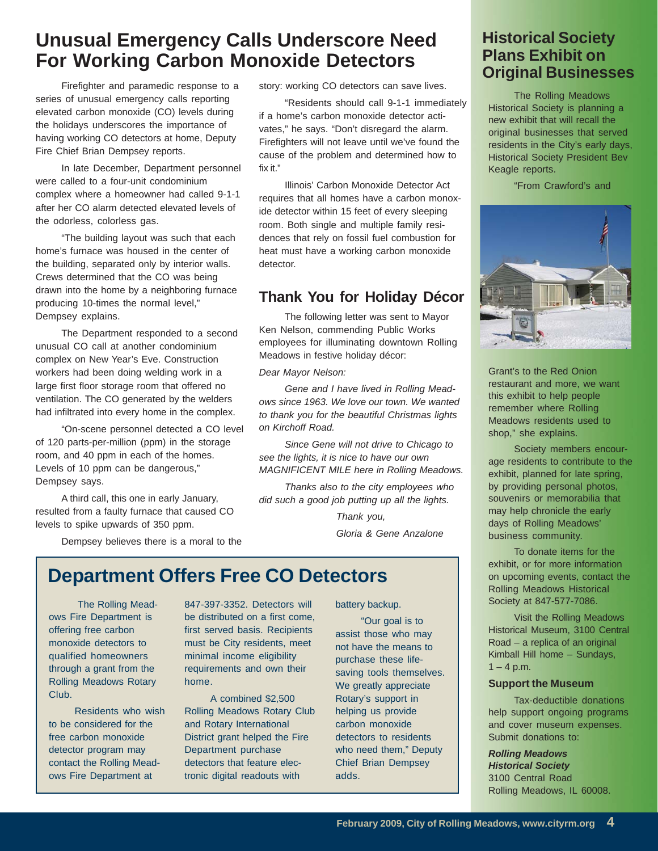# **Unusual Emergency Calls Underscore Need For Working Carbon Monoxide Detectors**

Firefighter and paramedic response to a series of unusual emergency calls reporting elevated carbon monoxide (CO) levels during the holidays underscores the importance of having working CO detectors at home, Deputy Fire Chief Brian Dempsey reports.

In late December, Department personnel were called to a four-unit condominium complex where a homeowner had called 9-1-1 after her CO alarm detected elevated levels of the odorless, colorless gas.

"The building layout was such that each home's furnace was housed in the center of the building, separated only by interior walls. Crews determined that the CO was being drawn into the home by a neighboring furnace producing 10-times the normal level," Dempsey explains.

The Department responded to a second unusual CO call at another condominium complex on New Year's Eve. Construction workers had been doing welding work in a large first floor storage room that offered no ventilation. The CO generated by the welders had infiltrated into every home in the complex.

"On-scene personnel detected a CO level of 120 parts-per-million (ppm) in the storage room, and 40 ppm in each of the homes. Levels of 10 ppm can be dangerous," Dempsey says.

A third call, this one in early January, resulted from a faulty furnace that caused CO levels to spike upwards of 350 ppm.

Dempsey believes there is a moral to the

story: working CO detectors can save lives.

"Residents should call 9-1-1 immediately if a home's carbon monoxide detector activates," he says. "Don't disregard the alarm. Firefighters will not leave until we've found the cause of the problem and determined how to fix it."

Illinois' Carbon Monoxide Detector Act requires that all homes have a carbon monoxide detector within 15 feet of every sleeping room. Both single and multiple family residences that rely on fossil fuel combustion for heat must have a working carbon monoxide detector.

### **Thank You for Holiday Décor**

The following letter was sent to Mayor Ken Nelson, commending Public Works employees for illuminating downtown Rolling Meadows in festive holiday décor:

*Dear Mayor Nelson:*

*Gene and I have lived in Rolling Meadows since 1963. We love our town. We wanted to thank you for the beautiful Christmas lights on Kirchoff Road.*

*Since Gene will not drive to Chicago to see the lights, it is nice to have our own MAGNIFICENT MILE here in Rolling Meadows.*

*Thanks also to the city employees who did such a good job putting up all the lights.*

> *Thank you, Gloria & Gene Anzalone*

# **Department Offers Free CO Detectors**

 The Rolling Meadows Fire Department is offering free carbon monoxide detectors to qualified homeowners through a grant from the Rolling Meadows Rotary Club.

Residents who wish to be considered for the free carbon monoxide detector program may contact the Rolling Meadows Fire Department at

847-397-3352. Detectors will be distributed on a first come, first served basis. Recipients must be City residents, meet minimal income eligibility requirements and own their home.

A combined \$2,500 Rolling Meadows Rotary Club and Rotary International District grant helped the Fire Department purchase detectors that feature electronic digital readouts with

battery backup.

"Our goal is to assist those who may not have the means to purchase these lifesaving tools themselves. We greatly appreciate Rotary's support in helping us provide carbon monoxide detectors to residents who need them," Deputy Chief Brian Dempsey adds.

### **Historical Society Plans Exhibit on Original Businesses**

The Rolling Meadows Historical Society is planning a new exhibit that will recall the original businesses that served residents in the City's early days, Historical Society President Bev Keagle reports.

"From Crawford's and



Grant's to the Red Onion restaurant and more, we want this exhibit to help people remember where Rolling Meadows residents used to shop," she explains.

Society members encourage residents to contribute to the exhibit, planned for late spring, by providing personal photos, souvenirs or memorabilia that may help chronicle the early days of Rolling Meadows' business community.

To donate items for the exhibit, or for more information on upcoming events, contact the Rolling Meadows Historical Society at 847-577-7086.

Visit the Rolling Meadows Historical Museum, 3100 Central Road – a replica of an original Kimball Hill home – Sundays,  $1 - 4$  p.m.

#### **Support the Museum**

Tax-deductible donations help support ongoing programs and cover museum expenses. Submit donations to:

*Rolling Meadows Historical Society* 3100 Central Road Rolling Meadows, IL 60008.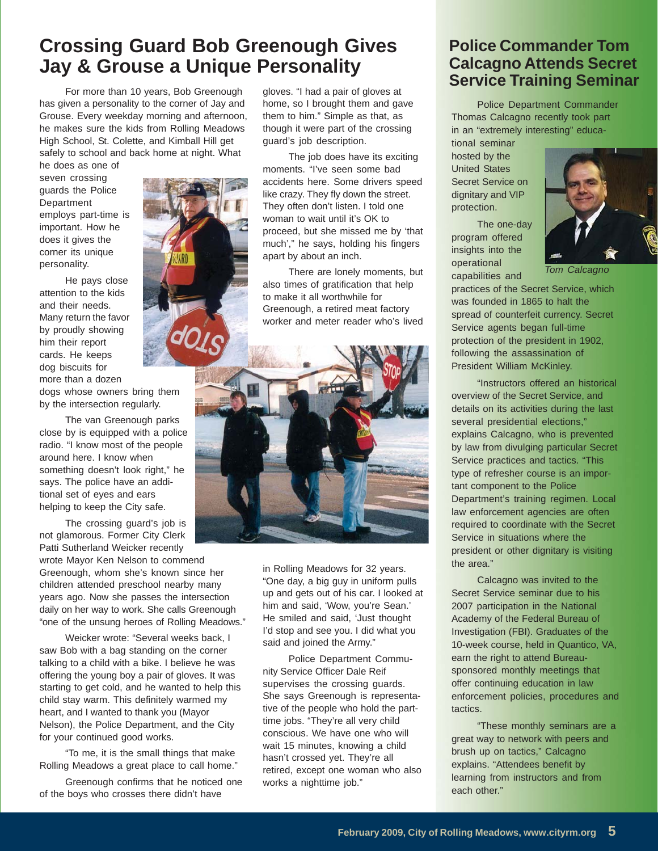## **Crossing Guard Bob Greenough Gives Jay & Grouse a Unique Personality**

For more than 10 years, Bob Greenough has given a personality to the corner of Jay and Grouse. Every weekday morning and afternoon, he makes sure the kids from Rolling Meadows High School, St. Colette, and Kimball Hill get safely to school and back home at night. What

he does as one of seven crossing guards the Police Department employs part-time is important. How he does it gives the corner its unique personality.

He pays close attention to the kids and their needs. Many return the favor by proudly showing him their report cards. He keeps dog biscuits for more than a dozen

dogs whose owners bring them by the intersection regularly.

The van Greenough parks close by is equipped with a police radio. "I know most of the people around here. I know when something doesn't look right," he says. The police have an additional set of eyes and ears helping to keep the City safe.

The crossing guard's job is not glamorous. Former City Clerk Patti Sutherland Weicker recently wrote Mayor Ken Nelson to commend Greenough, whom she's known since her children attended preschool nearby many years ago. Now she passes the intersection daily on her way to work. She calls Greenough "one of the unsung heroes of Rolling Meadows."

Weicker wrote: "Several weeks back, I saw Bob with a bag standing on the corner talking to a child with a bike. I believe he was offering the young boy a pair of gloves. It was starting to get cold, and he wanted to help this child stay warm. This definitely warmed my heart, and I wanted to thank you (Mayor Nelson), the Police Department, and the City for your continued good works.

"To me, it is the small things that make Rolling Meadows a great place to call home."

Greenough confirms that he noticed one of the boys who crosses there didn't have

gloves. "I had a pair of gloves at home, so I brought them and gave them to him." Simple as that, as though it were part of the crossing guard's job description.

The job does have its exciting moments. "I've seen some bad accidents here. Some drivers speed like crazy. They fly down the street. They often don't listen. I told one woman to wait until it's OK to proceed, but she missed me by 'that much'," he says, holding his fingers apart by about an inch.

There are lonely moments, but also times of gratification that help to make it all worthwhile for Greenough, a retired meat factory worker and meter reader who's lived



in Rolling Meadows for 32 years. "One day, a big guy in uniform pulls up and gets out of his car. I looked at him and said, 'Wow, you're Sean.' He smiled and said, 'Just thought I'd stop and see you. I did what you said and joined the Army."

Police Department Community Service Officer Dale Reif supervises the crossing guards. She says Greenough is representative of the people who hold the parttime jobs. "They're all very child conscious. We have one who will wait 15 minutes, knowing a child hasn't crossed yet. They're all retired, except one woman who also works a nighttime job."

### **Police Commander Tom Calcagno Attends Secret Service Training Seminar**

Police Department Commander Thomas Calcagno recently took part in an "extremely interesting" educa-

tional seminar hosted by the United States Secret Service on dignitary and VIP protection.

The one-day program offered insights into the operational capabilities and



*Tom Calcagno*

practices of the Secret Service, which was founded in 1865 to halt the spread of counterfeit currency. Secret Service agents began full-time protection of the president in 1902, following the assassination of President William McKinley.

"Instructors offered an historical overview of the Secret Service, and details on its activities during the last several presidential elections," explains Calcagno, who is prevented by law from divulging particular Secret Service practices and tactics. "This type of refresher course is an important component to the Police Department's training regimen. Local law enforcement agencies are often required to coordinate with the Secret Service in situations where the president or other dignitary is visiting the area."

Calcagno was invited to the Secret Service seminar due to his 2007 participation in the National Academy of the Federal Bureau of Investigation (FBI). Graduates of the 10-week course, held in Quantico, VA, earn the right to attend Bureausponsored monthly meetings that offer continuing education in law enforcement policies, procedures and tactics.

"These monthly seminars are a great way to network with peers and brush up on tactics," Calcagno explains. "Attendees benefit by learning from instructors and from each other."